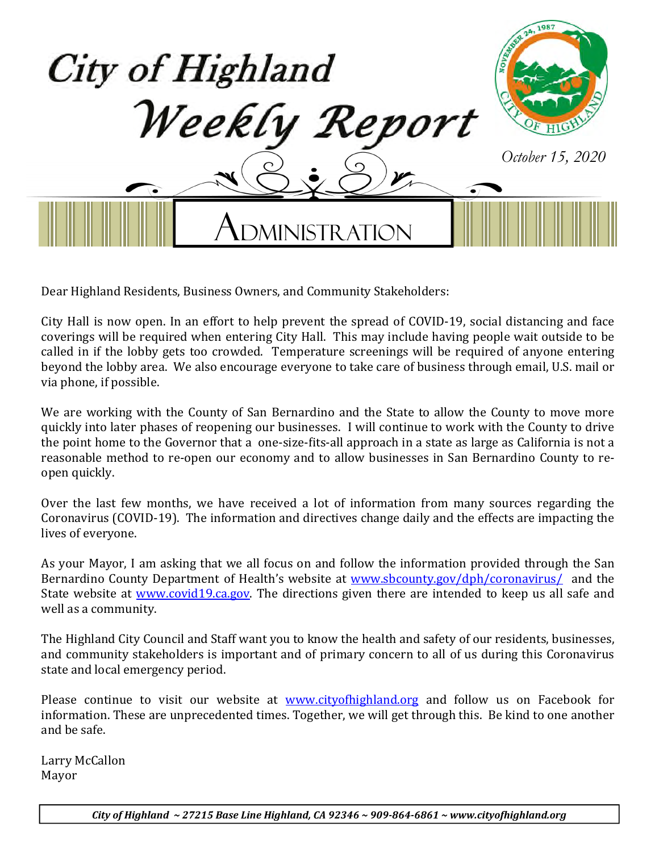

Dear Highland Residents, Business Owners, and Community Stakeholders:

City Hall is now open. In an effort to help prevent the spread of COVID-19, social distancing and face coverings will be required when entering City Hall. This may include having people wait outside to be called in if the lobby gets too crowded. Temperature screenings will be required of anyone entering beyond the lobby area. We also encourage everyone to take care of business through email, U.S. mail or via phone, if possible.

We are working with the County of San Bernardino and the State to allow the County to move more quickly into later phases of reopening our businesses. I will continue to work with the County to drive the point home to the Governor that a one-size-fits-all approach in a state as large as California is not a reasonable method to re-open our economy and to allow businesses in San Bernardino County to reopen quickly.

Over the last few months, we have received a lot of information from many sources regarding the Coronavirus (COVID-19). The information and directives change daily and the effects are impacting the lives of everyone.

As your Mayor, I am asking that we all focus on and follow the information provided through the San Bernardino County Department of Health's website at www.sbcounty.gov/dph/coronavirus/ and the State website at www.covid19.ca.gov. The directions given there are intended to keep us all safe and well as a community.

The Highland City Council and Staff want you to know the health and safety of our residents, businesses, and community stakeholders is important and of primary concern to all of us during this Coronavirus state and local emergency period.

Please continue to visit our website at www.cityofhighland.org and follow us on Facebook for information. These are unprecedented times. Together, we will get through this. Be kind to one another and be safe.

Larry McCallon Mayor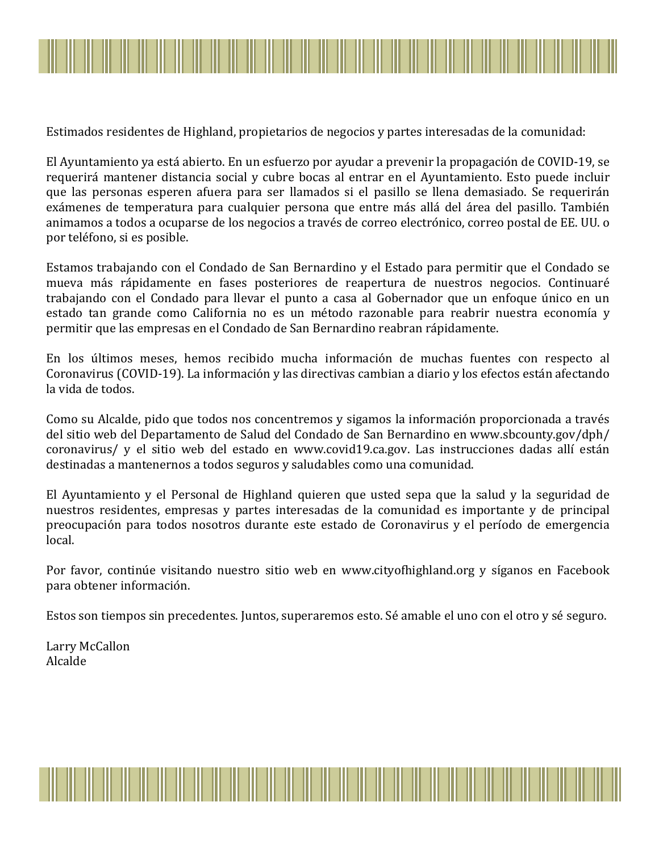

Estimados residentes de Highland, propietarios de negocios y partes interesadas de la comunidad:

El Ayuntamiento ya está abierto. En un esfuerzo por ayudar a prevenir la propagación de COVID-19, se requerirá mantener distancia social y cubre bocas al entrar en el Ayuntamiento. Esto puede incluir que las personas esperen afuera para ser llamados si el pasillo se llena demasiado. Se requerirán exámenes de temperatura para cualquier persona que entre más allá del área del pasillo. También animamos a todos a ocuparse de los negocios a través de correo electrónico, correo postal de EE. UU. o por teléfono, si es posible.

Estamos trabajando con el Condado de San Bernardino y el Estado para permitir que el Condado se mueva más rápidamente en fases posteriores de reapertura de nuestros negocios. Continuaré trabajando con el Condado para llevar el punto a casa al Gobernador que un enfoque único en un estado tan grande como California no es un método razonable para reabrir nuestra economía y permitir que las empresas en el Condado de San Bernardino reabran rápidamente.

En los últimos meses, hemos recibido mucha información de muchas fuentes con respecto al Coronavirus (COVID-19). La información y las directivas cambian a diario y los efectos están afectando la vida de todos.

Como su Alcalde, pido que todos nos concentremos y sigamos la información proporcionada a través del sitio web del Departamento de Salud del Condado de San Bernardino en www.sbcounty.gov/dph/ coronavirus/ y el sitio web del estado en www.covid19.ca.gov. Las instrucciones dadas allí están destinadas a mantenernos a todos seguros y saludables como una comunidad.

El Ayuntamiento y el Personal de Highland quieren que usted sepa que la salud y la seguridad de nuestros residentes, empresas y partes interesadas de la comunidad es importante y de principal preocupación para todos nosotros durante este estado de Coronavirus y el período de emergencia local.

Por favor, continúe visitando nuestro sitio web en www.cityofhighland.org y síganos en Facebook para obtener información.

Estos son tiempos sin precedentes. Juntos, superaremos esto. Sé amable el uno con el otro y sé seguro.

Larry McCallon Alcalde

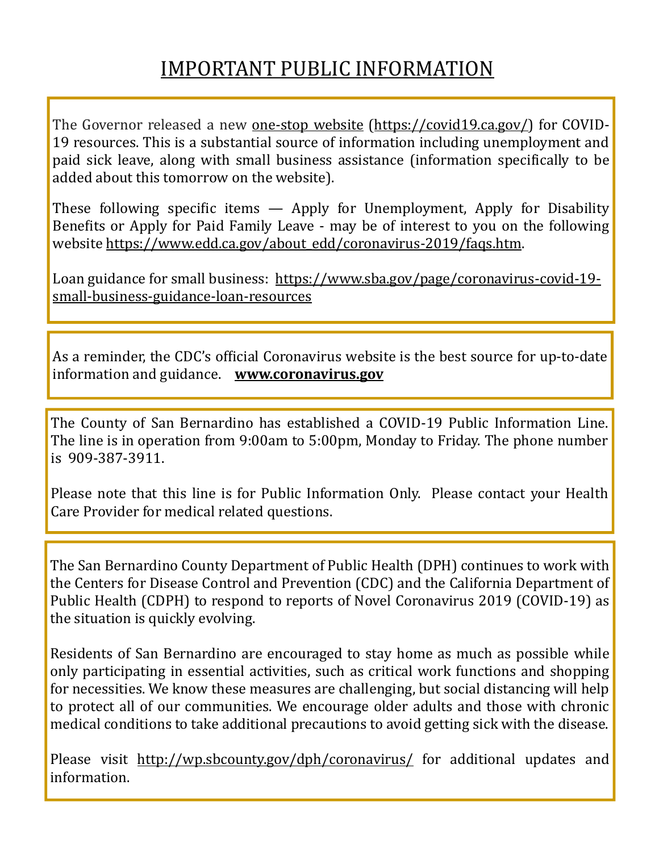## IMPORTANT PUBLIC INFORMATION

The Governor released a new one-stop website (https://covid19.ca.gov/) for COVID-19 resources. This is a substantial source of information including unemployment and paid sick leave, along with small business assistance (information specifically to be added about this tomorrow on the website).

These following specific items  $-$  Apply for Unemployment, Apply for Disability Benefits or Apply for Paid Family Leave - may be of interest to you on the following website https://www.edd.ca.gov/about\_edd/coronavirus-2019/faqs.htm.

Loan guidance for small business: https://www.sba.gov/page/coronavirus-covid-19 small-business-guidance-loan-resources

As a reminder, the CDC's oficial Coronavirus website is the best source for up-to-date information and guidance. **www.coronavirus.gov**

The County of San Bernardino has established a COVID-19 Public Information Line. The line is in operation from 9:00am to 5:00pm, Monday to Friday. The phone number is 909-387-3911.

Please note that this line is for Public Information Only. Please contact your Health Care Provider for medical related questions.

The San Bernardino County Department of Public Health (DPH) continues to work with the Centers for Disease Control and Prevention (CDC) and the California Department of Public Health (CDPH) to respond to reports of Novel Coronavirus 2019 (COVID-19) as the situation is quickly evolving.

Residents of San Bernardino are encouraged to stay home as much as possible while only participating in essential activities, such as critical work functions and shopping for necessities. We know these measures are challenging, but social distancing will help to protect all of our communities. We encourage older adults and those with chronic medical conditions to take additional precautions to avoid getting sick with the disease.

Please visit http://wp.sbcounty.gov/dph/coronavirus/ for additional updates and information.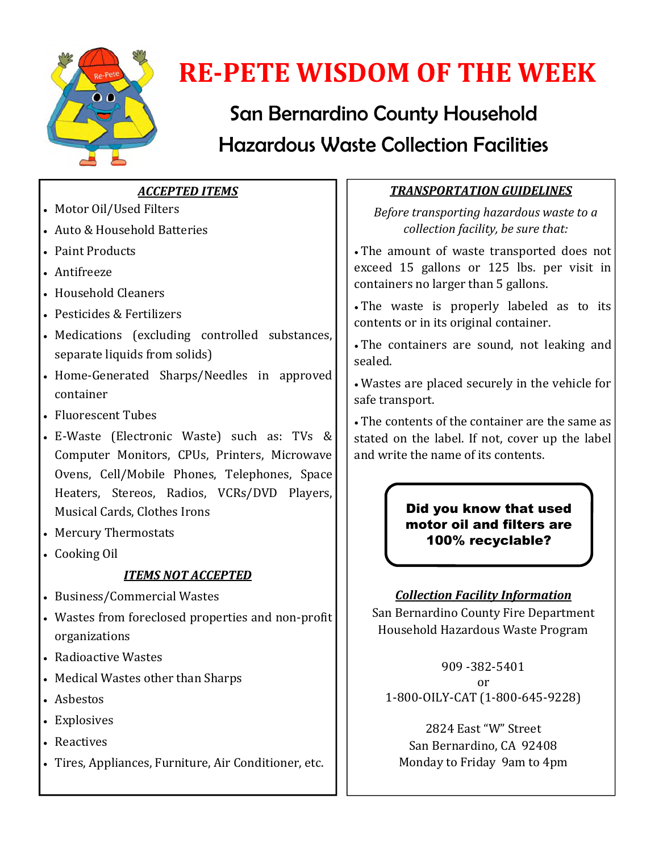

# **RE-PETE WISDOM OF THE WEEK**

# San Bernardino County Household Hazardous Waste Collection Facilities

## *ACCEPTED ITEMS*

- Motor Oil/Used Filters
- Auto & Household Batteries
- Paint Products
- Antifreeze
- Household Cleaners
- Pesticides & Fertilizers
- Medications (excluding controlled substances, separate liquids from solids)
- Home-Generated Sharps/Needles in approved container
- Fluorescent Tubes
- E-Waste (Electronic Waste) such as: TVs & Computer Monitors, CPUs, Printers, Microwave Ovens, Cell/Mobile Phones, Telephones, Space Heaters, Stereos, Radios, VCRs/DVD Players, Musical Cards, Clothes Irons
- Mercury Thermostats
- Cooking Oil

## *ITEMS NOT ACCEPTED*

- Business/Commercial Wastes
- Wastes from foreclosed properties and non-profit organizations
- Radioactive Wastes
- Medical Wastes other than Sharps
- Asbestos
- Explosives
- Reactives
- Tires, Appliances, Furniture, Air Conditioner, etc.

## *TRANSPORTATION GUIDELINES*

*Before transporting hazardous waste to a collection facility, be sure that:*

 The amount of waste transported does not exceed 15 gallons or 125 lbs. per visit in containers no larger than 5 gallons.

 The waste is properly labeled as to its contents or in its original container.

 The containers are sound, not leaking and sealed.

 Wastes are placed securely in the vehicle for safe transport.

 The contents of the container are the same as stated on the label. If not, cover up the label and write the name of its contents.

## Did you know that used motor oil and filters are 100% recyclable?

## *Collection Facility Information*

San Bernardino County Fire Department Household Hazardous Waste Program

909 -382-5401 or 1-800-OILY-CAT (1-800-645-9228)

2824 East "W" Street San Bernardino, CA 92408 Monday to Friday 9am to 4pm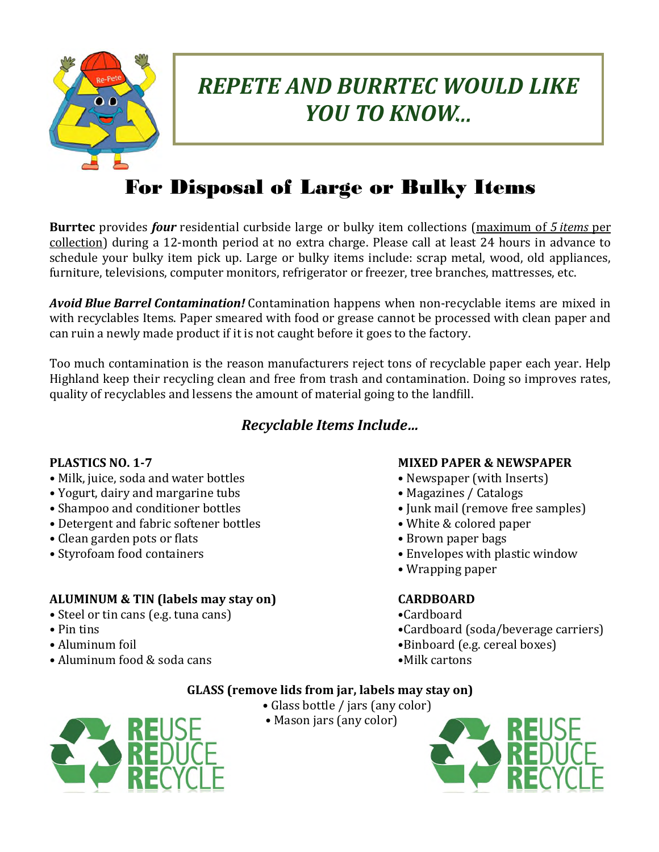

# *REPETE AND BURRTEC WOULD LIKE YOU TO KNOW...*

## For Disposal of Large or Bulky Items

**Burrtec** provides *four* residential curbside large or bulky item collections (maximum of *5 items* per collection) during a 12-month period at no extra charge. Please call at least 24 hours in advance to schedule your bulky item pick up. Large or bulky items include: scrap metal, wood, old appliances, furniture, televisions, computer monitors, refrigerator or freezer, tree branches, mattresses, etc.

*Avoid Blue Barrel Contamination!* Contamination happens when non-recyclable items are mixed in with recyclables Items. Paper smeared with food or grease cannot be processed with clean paper and can ruin a newly made product if it is not caught before it goes to the factory.

Too much contamination is the reason manufacturers reject tons of recyclable paper each year. Help Highland keep their recycling clean and free from trash and contamination. Doing so improves rates, quality of recyclables and lessens the amount of material going to the landill.

## *Recyclable Items Include…*

- Milk, juice, soda and water bottles Newspaper (with Inserts)
- Yogurt, dairy and margarine tubs Magazines / Catalogs
- Shampoo and conditioner bottles Junk mail (remove free samples)
- Detergent and fabric softener bottles White & colored paper
- Clean garden pots or flats Brown paper bags
- 

## **ALUMINUM & TIN (labels may stay on) CARDBOARD**

- Steel or tin cans (e.g. tuna cans) •Cardboard
- 
- 
- Aluminum food & soda cans •Milk cartons

### **PLASTICS NO. 1-7 MIXED PAPER & NEWSPAPER**

- 
- 
- 
- 
- 
- Styrofoam food containers Envelopes with plastic window
	- Wrapping paper

- 
- Pin tins Cardboard (soda/beverage carriers)
- Aluminum foil Aluminum foil Aluminum foil Binboard (e.g. cereal boxes)
	-

### **GLASS (remove lids from jar, labels may stay on)**

- Glass bottle / jars (any color)
	- Mason jars (any color)



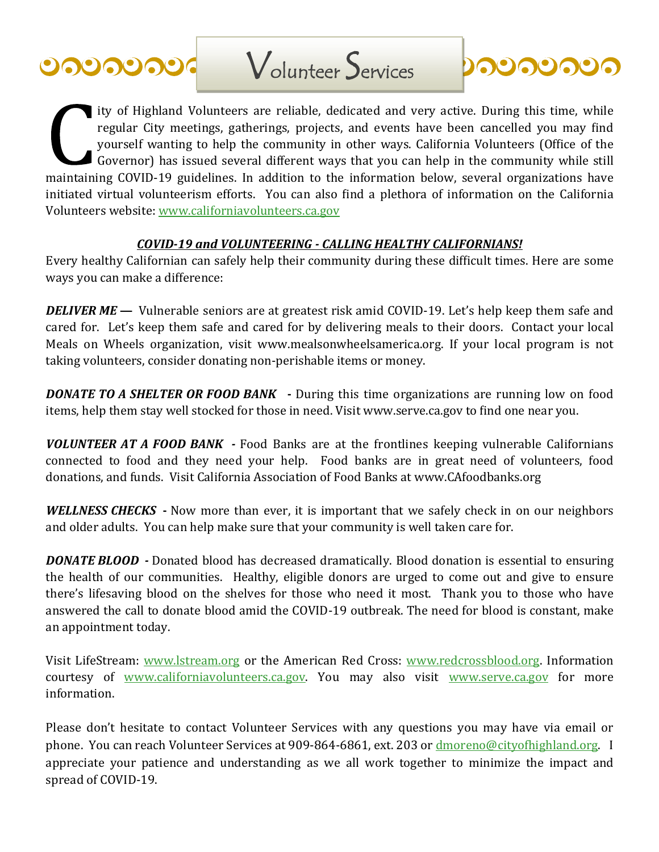



ity of Highland Volunteers are reliable, dedicated and very active. During this time, while regular City meetings, gatherings, projects, and events have been cancelled you may ind yourself wanting to help the community in other ways. California Volunteers (Ofice of the Governor) has issued several different ways that you can help in the community while still maintaining COVID-19 guidelines. In addition to the information below, several organizations have initiated virtual volunteerism efforts. You can also find a plethora of information on the California Volunteers website: www.californiavolunteers.ca.gov

#### *COVID-19 and VOLUNTEERING - CALLING HEALTHY CALIFORNIANS!*

Every healthy Californian can safely help their community during these dificult times. Here are some ways you can make a difference:

*DELIVER ME* — Vulnerable seniors are at greatest risk amid COVID-19. Let's help keep them safe and cared for. Let's keep them safe and cared for by delivering meals to their doors. Contact your local Meals on Wheels organization, visit www.mealsonwheelsamerica.org. If your local program is not taking volunteers, consider donating non-perishable items or money.

*DONATE TO A SHELTER OR FOOD BANK* **-** During this time organizations are running low on food items, help them stay well stocked for those in need. Visit www.serve.ca.gov to find one near you.

*VOLUNTEER AT A FOOD BANK -* Food Banks are at the frontlines keeping vulnerable Californians connected to food and they need your help. Food banks are in great need of volunteers, food donations, and funds. Visit California Association of Food Banks at www.CAfoodbanks.org

*WELLNESS CHECKS* **-** Now more than ever, it is important that we safely check in on our neighbors and older adults. You can help make sure that your community is well taken care for.

*DONATE BLOOD -* Donated blood has decreased dramatically. Blood donation is essential to ensuring the health of our communities. Healthy, eligible donors are urged to come out and give to ensure there's lifesaving blood on the shelves for those who need it most. Thank you to those who have answered the call to donate blood amid the COVID-19 outbreak. The need for blood is constant, make an appointment today.

Visit LifeStream: www.lstream.org or the American Red Cross: www.redcrossblood.org. Information courtesy of www.californiavolunteers.ca.gov. You may also visit www.serve.ca.gov for more information.

Please don't hesitate to contact Volunteer Services with any questions you may have via email or phone. You can reach Volunteer Services at 909-864-6861, ext. 203 or dmoreno@cityofhighland.org. I appreciate your patience and understanding as we all work together to minimize the impact and spread of COVID-19.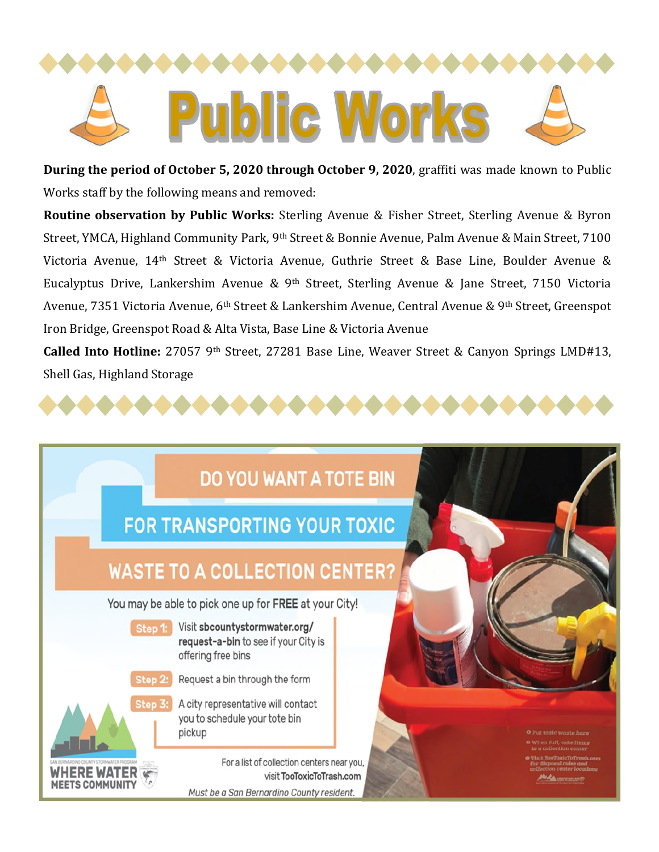

**During the period of October 5, 2020 through October 9, 2020**, grafiti was made known to Public Works staff by the following means and removed:

**Routine observation by Public Works:** Sterling Avenue & Fisher Street, Sterling Avenue & Byron Street, YMCA, Highland Community Park, 9<sup>th</sup> Street & Bonnie Avenue, Palm Avenue & Main Street, 7100 Victoria Avenue, 14th Street & Victoria Avenue, Guthrie Street & Base Line, Boulder Avenue & Eucalyptus Drive, Lankershim Avenue & 9<sup>th</sup> Street, Sterling Avenue & Jane Street, 7150 Victoria Avenue, 7351 Victoria Avenue, 6th Street & Lankershim Avenue, Central Avenue & 9th Street, Greenspot Iron Bridge, Greenspot Road & Alta Vista, Base Line & Victoria Avenue

**Called Into Hotline:** 27057 9th Street, 27281 Base Line, Weaver Street & Canyon Springs LMD#13, Shell Gas, Highland Storage

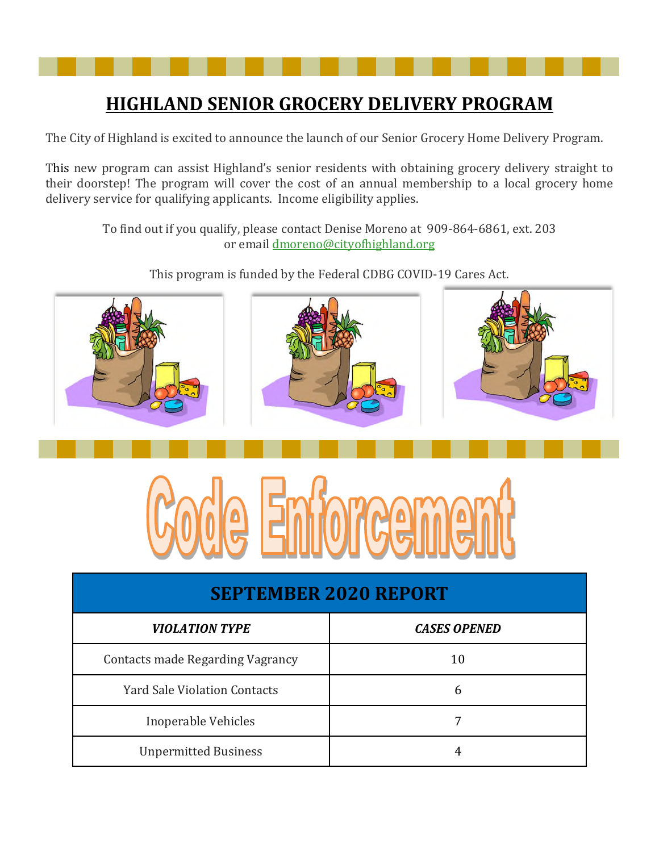## **HIGHLAND SENIOR GROCERY DELIVERY PROGRAM**

The City of Highland is excited to announce the launch of our Senior Grocery Home Delivery Program.

This new program can assist Highland's senior residents with obtaining grocery delivery straight to their doorstep! The program will cover the cost of an annual membership to a local grocery home delivery service for qualifying applicants. Income eligibility applies.

> To find out if you qualify, please contact Denise Moreno at 909-864-6861, ext. 203 or email dmoreno@cityohighland.org

> > This program is funded by the Federal CDBG COVID-19 Cares Act.





| <b>SEPTEMBER 2020 REPORT</b>            |                     |
|-----------------------------------------|---------------------|
| <b>VIOLATION TYPE</b>                   | <b>CASES OPENED</b> |
| <b>Contacts made Regarding Vagrancy</b> | 10                  |
| <b>Yard Sale Violation Contacts</b>     | 6                   |
| Inoperable Vehicles                     |                     |
| <b>Unpermitted Business</b>             |                     |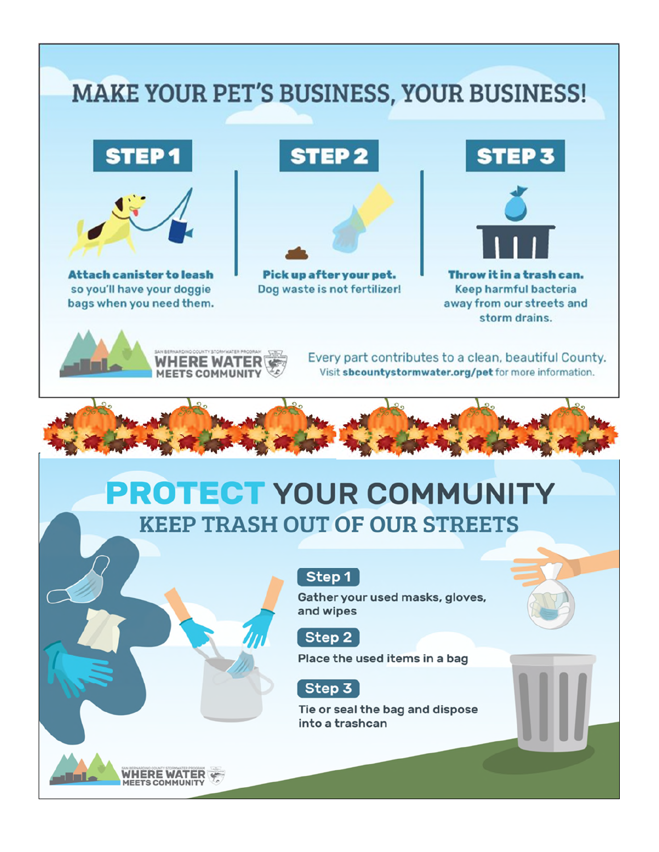# **MAKE YOUR PET'S BUSINESS, YOUR BUSINESS!**

# **STEP1**



**Attach canister to leash** so you'll have your doggie bags when you need them.

# **STEP 2**



Pick up after your pet. Dog waste is not fertilizer!

# **STEP 3**



Throw it in a trash can. Keep harmful bacteria away from our streets and storm drains.



Every part contributes to a clean, beautiful County. Visit sbcountystormwater.org/pet for more information.

# **PROTECT YOUR COMMUNITY KEEP TRASH OUT OF OUR STREETS**

## Step 1

Gather your used masks, gloves, and wipes



Place the used items in a bag

## Step 3

Tie or seal the bag and dispose into a trashcan

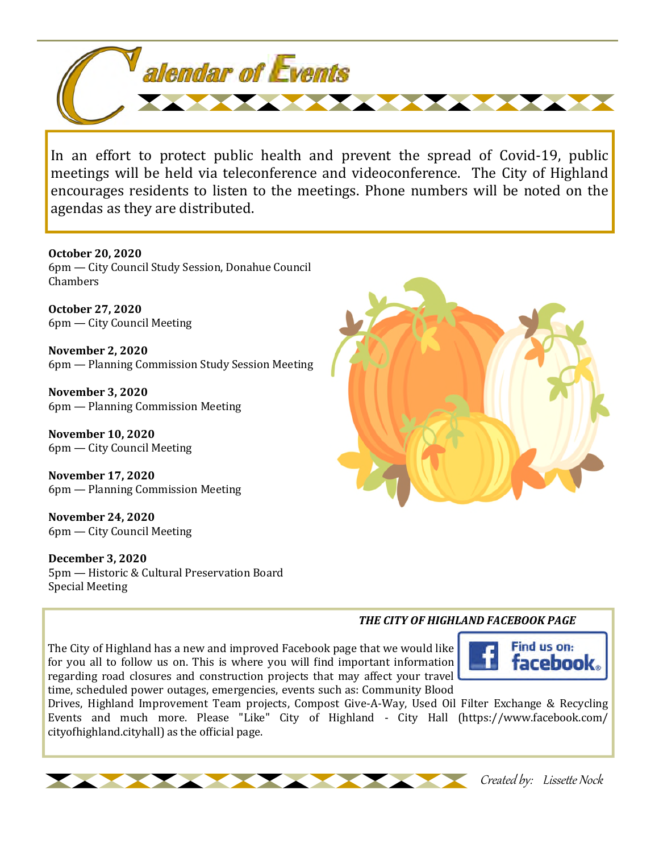

In an effort to protect public health and prevent the spread of Covid-19, public meetings will be held via teleconference and videoconference. The City of Highland encourages residents to listen to the meetings. Phone numbers will be noted on the agendas as they are distributed.

**October 20, 2020**

6pm — City Council Study Session, Donahue Council **Chambers** 

**October 27, 2020** 6pm — City Council Meeting

**November 2, 2020** 6pm — Planning Commission Study Session Meeting

**November 3, 2020** 6pm — Planning Commission Meeting

**November 10, 2020** 6pm — City Council Meeting

**November 17, 2020** 6pm — Planning Commission Meeting

**November 24, 2020** 6pm — City Council Meeting

**December 3, 2020** 5pm — Historic & Cultural Preservation Board Special Meeting



#### *THE CITY OF HIGHLAND FACEBOOK PAGE*

The City of Highland has a new and improved Facebook page that we would like for you all to follow us on. This is where you will find important information regarding road closures and construction projects that may affect your travel time, scheduled power outages, emergencies, events such as: Community Blood



Drives, Highland Improvement Team projects, Compost Give-A-Way, Used Oil Filter Exchange & Recycling Events and much more. Please "Like" City of Highland - City Hall (https://www.facebook.com/ cityofhighland.cityhall) as the official page.



Created by: Lissette Nock